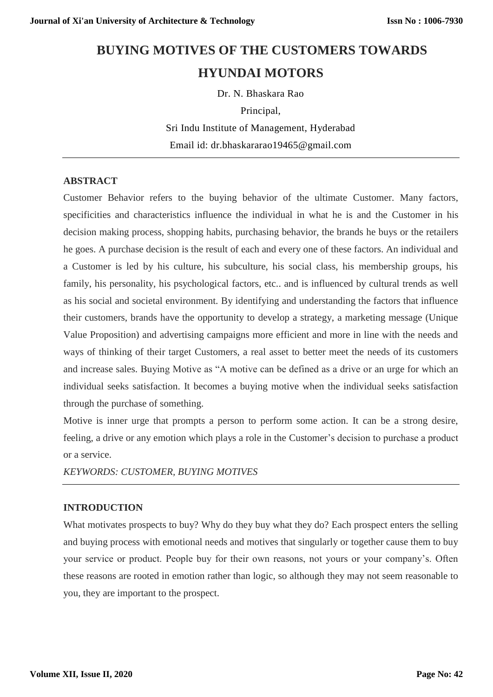# **BUYING MOTIVES OF THE CUSTOMERS TOWARDS HYUNDAI MOTORS**

Dr. N. Bhaskara Rao Principal, Sri Indu Institute of Management, Hyderabad Email id: [dr.bhaskararao19465@gmail.com](mailto:dr.bhaskararao19465@gmail.com)

# **ABSTRACT**

Customer Behavior refers to the buying behavior of the ultimate Customer. Many factors, specificities and characteristics influence the individual in what he is and the Customer in his decision making process, shopping habits, purchasing behavior, the brands he buys or the retailers he goes. A purchase decision is the result of each and every one of these factors. An individual and a Customer is led by his culture, his subculture, his social class, his membership groups, his family, his personality, his psychological factors, etc.. and is influenced by cultural trends as well as his social and societal environment. By identifying and understanding the factors that influence their customers, brands have the opportunity to develop a strategy, a marketing message (Unique Value Proposition) and advertising campaigns more efficient and more in line with the needs and ways of thinking of their target Customers, a real asset to better meet the needs of its customers and increase sales. Buying Motive as "A motive can be defined as a drive or an urge for which an individual seeks satisfaction. It becomes a buying motive when the individual seeks satisfaction through the purchase of something.

Motive is inner urge that prompts a person to perform some action. It can be a strong desire, feeling, a drive or any emotion which plays a role in the Customer's decision to purchase a product or a service.

*KEYWORDS: CUSTOMER, BUYING MOTIVES*

## **INTRODUCTION**

What motivates prospects to buy? Why do they buy what they do? Each prospect enters the selling and buying process with emotional needs and motives that singularly or together cause them to buy your service or product. People buy for their own reasons, not yours or your company's. Often these reasons are rooted in emotion rather than logic, so although they may not seem reasonable to you, they are important to the prospect.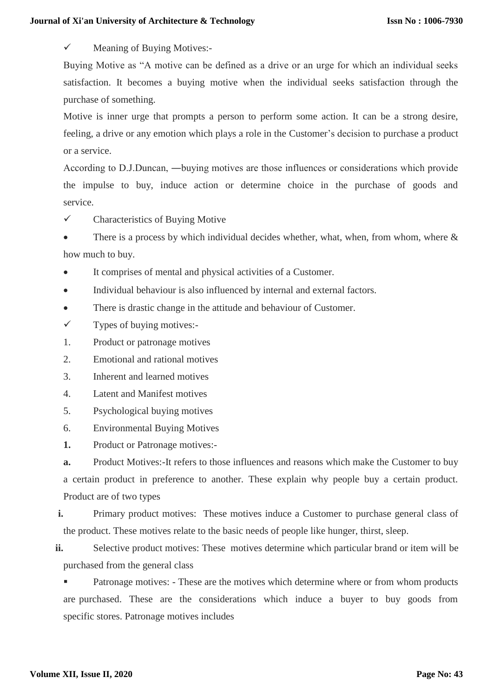$\checkmark$  Meaning of Buying Motives:-

Buying Motive as "A motive can be defined as a drive or an urge for which an individual seeks satisfaction. It becomes a buying motive when the individual seeks satisfaction through the purchase of something.

Motive is inner urge that prompts a person to perform some action. It can be a strong desire, feeling, a drive or any emotion which plays a role in the Customer's decision to purchase a product or a service.

According to D.J.Duncan, ―buying motives are those influences or considerations which provide the impulse to buy, induce action or determine choice in the purchase of goods and service.

 $\checkmark$  Characteristics of Buying Motive

There is a process by which individual decides whether, what, when, from whom, where  $\&$ how much to buy.

It comprises of mental and physical activities of a Customer.

Individual behaviour is also influenced by internal and external factors.

There is drastic change in the attitude and behaviour of Customer.

 $\checkmark$  Types of buying motives:-

1. Product or patronage motives

2. Emotional and rational motives

3. Inherent and learned motives

4. Latent and Manifest motives

5. Psychological buying motives

6. Environmental Buying Motives

**1.** Product or Patronage motives:-

**a.** Product Motives:-It refers to those influences and reasons which make the Customer to buy a certain product in preference to another. These explain why people buy a certain product. Product are of two types

**i.** Primary product motives: These motives induce a Customer to purchase general class of the product. These motives relate to the basic needs of people like hunger, thirst, sleep.

**ii.** Selective product motives: These motives determine which particular brand or item will be purchased from the general class

**•** Patronage motives: - These are the motives which determine where or from whom products are purchased. These are the considerations which induce a buyer to buy goods from specific stores. Patronage motives includes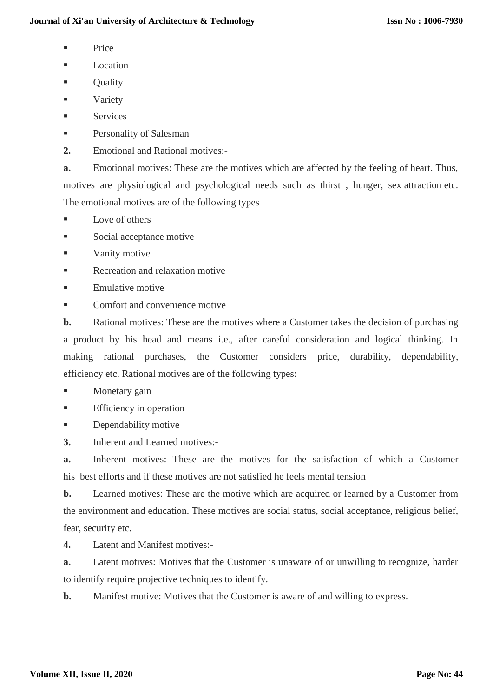- $\blacksquare$  Price
- Location
- **Quality**
- **variety**
- **Services**
- Personality of Salesman
- **2.** Emotional and Rational motives:-

**a.** Emotional motives: These are the motives which are affected by the feeling of heart. Thus, motives are physiological and psychological needs such as thirst , hunger, sex attraction etc. The emotional motives are of the following types

- Love of others
- Social acceptance motive
- Vanity motive
- Recreation and relaxation motive
- Emulative motive
- Comfort and convenience motive

**b.** Rational motives: These are the motives where a Customer takes the decision of purchasing a product by his head and means i.e., after careful consideration and logical thinking. In making rational purchases, the Customer considers price, durability, dependability, efficiency etc. Rational motives are of the following types:

- Monetary gain
- **Efficiency in operation**
- **Dependability motive**
- **3.** Inherent and Learned motives:-

**a.** Inherent motives: These are the motives for the satisfaction of which a Customer his best efforts and if these motives are not satisfied he feels mental tension

**b.** Learned motives: These are the motive which are acquired or learned by a Customer from the environment and education. These motives are social status, social acceptance, religious belief, fear, security etc.

**4.** Latent and Manifest motives:-

**a.** Latent motives: Motives that the Customer is unaware of or unwilling to recognize, harder to identify require projective techniques to identify.

**b.** Manifest motive: Motives that the Customer is aware of and willing to express.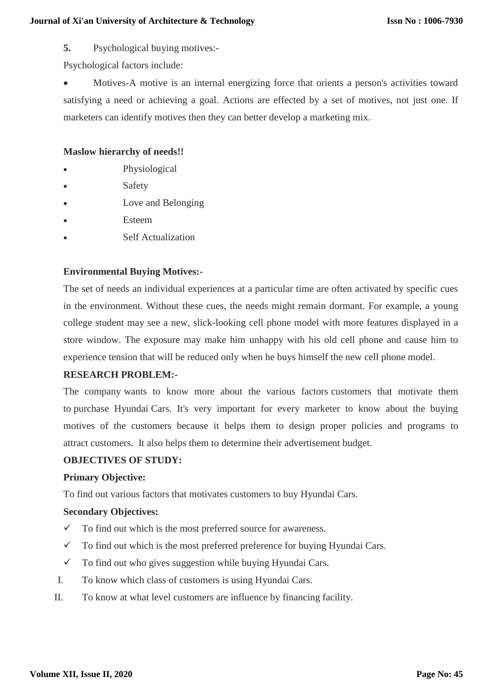**5.** Psychological buying motives:-

Psychological factors include:

 Motives-A motive is an internal energizing force that orients a person's activities toward satisfying a need or achieving a goal. Actions are effected by a set of motives, not just one. If marketers can identify motives then they can better develop a marketing mix.

## **Maslow hierarchy of needs!!**

- Physiological
- Safety
- Love and Belonging
- Esteem
- Self Actualization

# **Environmental Buying Motives:-**

The set of needs an individual experiences at a particular time are often activated by specific cues in the environment. Without these cues, the needs might remain dormant. For example, a young college student may see a new, slick-looking cell phone model with more features displayed in a store window. The exposure may make him unhappy with his old cell phone and cause him to experience tension that will be reduced only when he buys himself the new cell phone model.

# **RESEARCH PROBLEM:-**

The company wants to know more about the various factors customers that motivate them to purchase Hyundai Cars. It's very important for every marketer to know about the buying motives of the customers because it helps them to design proper policies and programs to attract customers. It also helps them to determine their advertisement budget.

## **OBJECTIVES OF STUDY:**

## **Primary Objective:**

To find out various factors that motivates customers to buy Hyundai Cars.

## **Secondary Objectives:**

- $\checkmark$  To find out which is the most preferred source for awareness.
- $\checkmark$  To find out which is the most preferred preference for buying Hyundai Cars.
- $\checkmark$  To find out who gives suggestion while buying Hyundai Cars.
- I. To know which class of customers is using Hyundai Cars.
- II. To know at what level customers are influence by financing facility.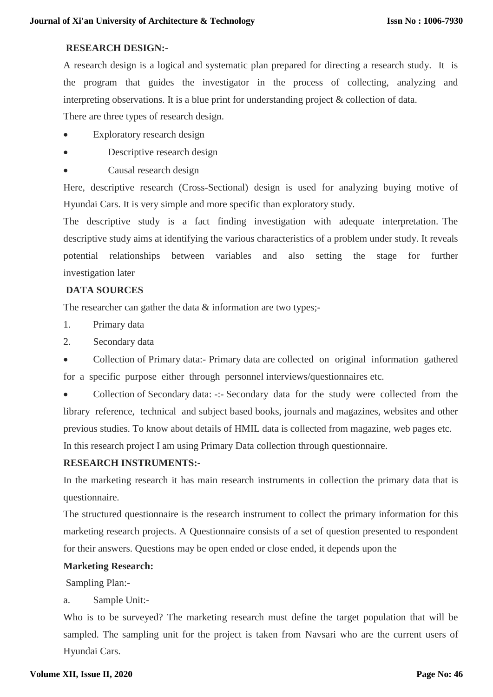## **RESEARCH DESIGN:-**

A research design is a logical and systematic plan prepared for directing a research study. It is the program that guides the investigator in the process of collecting, analyzing and interpreting observations. It is a blue print for understanding project & collection of data.

There are three types of research design.

- Exploratory research design
- Descriptive research design
- Causal research design

Here, descriptive research (Cross-Sectional) design is used for analyzing buying motive of Hyundai Cars. It is very simple and more specific than exploratory study.

The descriptive study is a fact finding investigation with adequate interpretation. The descriptive study aims at identifying the various characteristics of a problem under study. It reveals potential relationships between variables and also setting the stage for further investigation later

# **DATA SOURCES**

The researcher can gather the data  $\&$  information are two types;-

- 1. Primary data
- 2. Secondary data

• Collection of Primary data:- Primary data are collected on original information gathered for a specific purpose either through personnel interviews/questionnaires etc.

 Collection of Secondary data: -:- Secondary data for the study were collected from the library reference, technical and subject based books, journals and magazines, websites and other previous studies. To know about details of HMIL data is collected from magazine, web pages etc. In this research project I am using Primary Data collection through questionnaire.

# **RESEARCH INSTRUMENTS:-**

In the marketing research it has main research instruments in collection the primary data that is questionnaire.

The structured questionnaire is the research instrument to collect the primary information for this marketing research projects. A Questionnaire consists of a set of question presented to respondent for their answers. Questions may be open ended or close ended, it depends upon the

## **Marketing Research:**

Sampling Plan:-

# a. Sample Unit:-

Who is to be surveyed? The marketing research must define the target population that will be sampled. The sampling unit for the project is taken from Navsari who are the current users of Hyundai Cars.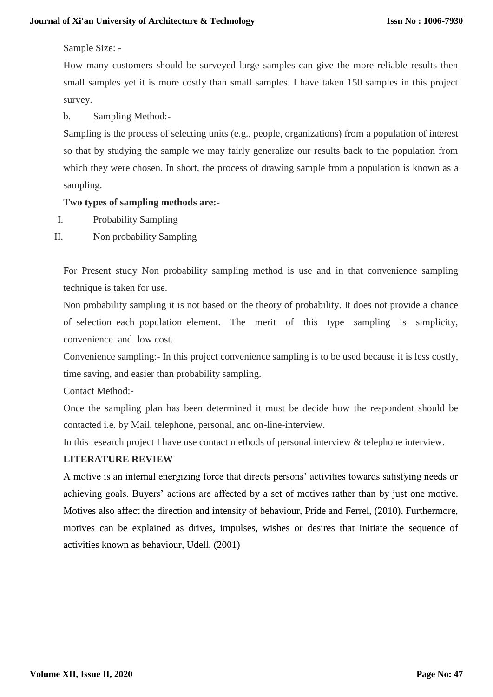#### Sample Size: -

How many customers should be surveyed large samples can give the more reliable results then small samples yet it is more costly than small samples. I have taken 150 samples in this project survey.

b. Sampling Method:-

Sampling is the process of selecting units (e.g., people, organizations) from a population of interest so that by studying the sample we may fairly generalize our results back to the population from which they were chosen. In short, the process of drawing sample from a population is known as a sampling.

## **Two types of sampling methods are:-**

- I. Probability Sampling
- II. Non probability Sampling

For Present study Non probability sampling method is use and in that convenience sampling technique is taken for use.

Non probability sampling it is not based on the theory of probability. It does not provide a chance of selection each population element. The merit of this type sampling is simplicity, convenience and low cost.

Convenience sampling:- In this project convenience sampling is to be used because it is less costly, time saving, and easier than probability sampling.

Contact Method:-

Once the sampling plan has been determined it must be decide how the respondent should be contacted i.e. by Mail, telephone, personal, and on-line-interview.

In this research project I have use contact methods of personal interview & telephone interview.

# **LITERATURE REVIEW**

A motive is an internal energizing force that directs persons' activities towards satisfying needs or achieving goals. Buyers' actions are affected by a set of motives rather than by just one motive. Motives also affect the direction and intensity of behaviour, Pride and Ferrel, (2010). Furthermore, motives can be explained as drives, impulses, wishes or desires that initiate the sequence of activities known as behaviour, Udell, (2001)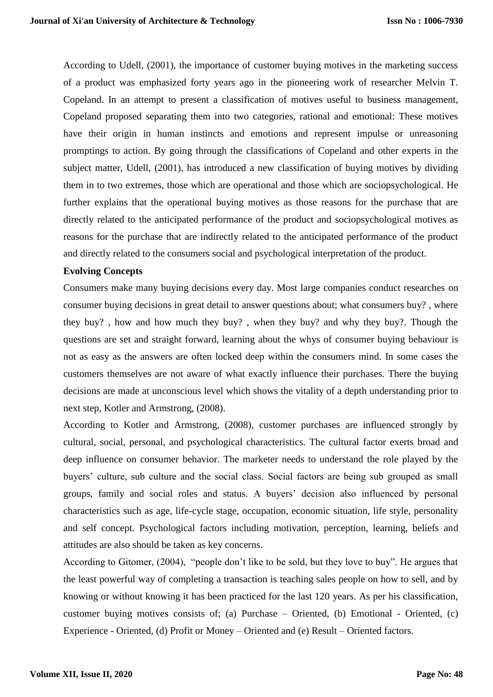According to Udell, (2001), the importance of customer buying motives in the marketing success of a product was emphasized forty years ago in the pioneering work of researcher Melvin T. Copeland. In an attempt to present a classification of motives useful to business management, Copeland proposed separating them into two categories, rational and emotional: These motives have their origin in human instincts and emotions and represent impulse or unreasoning promptings to action. By going through the classifications of Copeland and other experts in the subject matter, Udell, (2001), has introduced a new classification of buying motives by dividing them in to two extremes, those which are operational and those which are sociopsychological. He further explains that the operational buying motives as those reasons for the purchase that are directly related to the anticipated performance of the product and sociopsychological motives as reasons for the purchase that are indirectly related to the anticipated performance of the product and directly related to the consumers social and psychological interpretation of the product.

## **Evolving Concepts**

Consumers make many buying decisions every day. Most large companies conduct researches on consumer buying decisions in great detail to answer questions about; what consumers buy? , where they buy? , how and how much they buy? , when they buy? and why they buy?. Though the questions are set and straight forward, learning about the whys of consumer buying behaviour is not as easy as the answers are often locked deep within the consumers mind. In some cases the customers themselves are not aware of what exactly influence their purchases. There the buying decisions are made at unconscious level which shows the vitality of a depth understanding prior to next step, Kotler and Armstrong, (2008).

According to Kotler and Armstrong, (2008), customer purchases are influenced strongly by cultural, social, personal, and psychological characteristics. The cultural factor exerts broad and deep influence on consumer behavior. The marketer needs to understand the role played by the buyers' culture, sub culture and the social class. Social factors are being sub grouped as small groups, family and social roles and status. A buyers' decision also influenced by personal characteristics such as age, life-cycle stage, occupation, economic situation, life style, personality and self concept. Psychological factors including motivation, perception, learning, beliefs and attitudes are also should be taken as key concerns.

According to Gitomer, (2004), "people don't like to be sold, but they love to buy". He argues that the least powerful way of completing a transaction is teaching sales people on how to sell, and by knowing or without knowing it has been practiced for the last 120 years. As per his classification, customer buying motives consists of; (a) Purchase – Oriented, (b) Emotional - Oriented, (c) Experience - Oriented, (d) Profit or Money – Oriented and (e) Result – Oriented factors.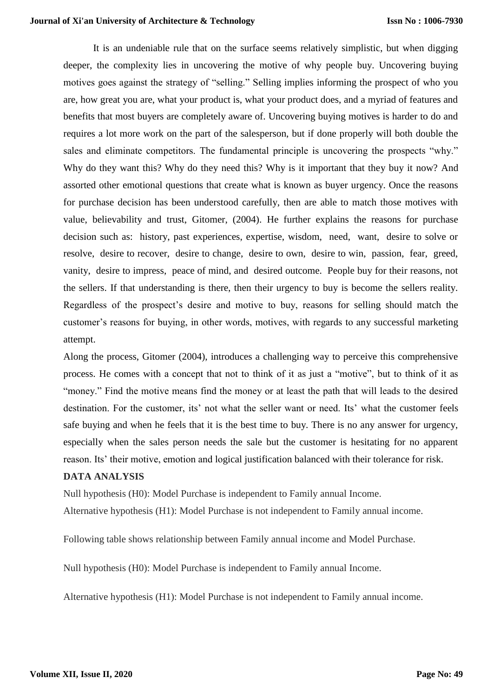It is an undeniable rule that on the surface seems relatively simplistic, but when digging deeper, the complexity lies in uncovering the motive of why people buy. Uncovering buying motives goes against the strategy of "selling." Selling implies informing the prospect of who you are, how great you are, what your product is, what your product does, and a myriad of features and benefits that most buyers are completely aware of. Uncovering buying motives is harder to do and requires a lot more work on the part of the salesperson, but if done properly will both double the sales and eliminate competitors. The fundamental principle is uncovering the prospects "why." Why do they want this? Why do they need this? Why is it important that they buy it now? And assorted other emotional questions that create what is known as buyer urgency. Once the reasons for purchase decision has been understood carefully, then are able to match those motives with value, believability and trust, Gitomer, (2004). He further explains the reasons for purchase decision such as: history, past experiences, expertise, wisdom, need, want, desire to solve or resolve, desire to recover, desire to change, desire to own, desire to win, passion, fear, greed, vanity, desire to impress, peace of mind, and desired outcome. People buy for their reasons, not the sellers. If that understanding is there, then their urgency to buy is become the sellers reality. Regardless of the prospect's desire and motive to buy, reasons for selling should match the customer's reasons for buying, in other words, motives, with regards to any successful marketing attempt.

Along the process, Gitomer (2004), introduces a challenging way to perceive this comprehensive process. He comes with a concept that not to think of it as just a "motive", but to think of it as "money." Find the motive means find the money or at least the path that will leads to the desired destination. For the customer, its' not what the seller want or need. Its' what the customer feels safe buying and when he feels that it is the best time to buy. There is no any answer for urgency, especially when the sales person needs the sale but the customer is hesitating for no apparent reason. Its' their motive, emotion and logical justification balanced with their tolerance for risk.

#### **DATA ANALYSIS**

Null hypothesis (H0): Model Purchase is independent to Family annual Income. Alternative hypothesis (H1): Model Purchase is not independent to Family annual income.

Following table shows relationship between Family annual income and Model Purchase.

Null hypothesis (H0): Model Purchase is independent to Family annual Income.

Alternative hypothesis (H1): Model Purchase is not independent to Family annual income.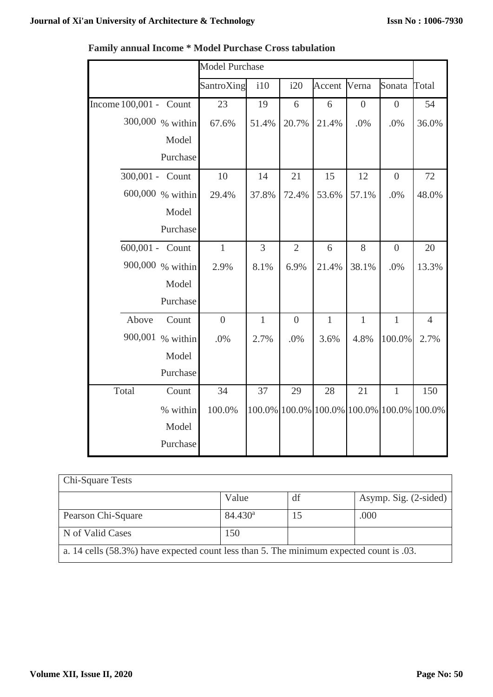$\overline{\phantom{a}}$ 

 $\overline{\phantom{0}}$ 

F

|                        | <b>Model Purchase</b> |              |                |                                           |                |                  |                |
|------------------------|-----------------------|--------------|----------------|-------------------------------------------|----------------|------------------|----------------|
|                        | SantroXing            | i10          | i20            | Accent                                    | Verna          | Sonata           | Total          |
| Income 100,001 - Count | 23                    | 19           | 6              | 6                                         | $\overline{0}$ | $\boldsymbol{0}$ | 54             |
| 300,000 % within       | 67.6%                 | 51.4%        | 20.7%          | 21.4%                                     | .0%            | .0%              | 36.0%          |
| Model                  |                       |              |                |                                           |                |                  |                |
| Purchase               |                       |              |                |                                           |                |                  |                |
| 300,001 - Count        | 10                    | 14           | 21             | 15                                        | 12             | $\boldsymbol{0}$ | 72             |
| 600,000 % within       | 29.4%                 | 37.8%        | 72.4%          | 53.6%                                     | 57.1%          | .0%              | 48.0%          |
| Model                  |                       |              |                |                                           |                |                  |                |
| Purchase               |                       |              |                |                                           |                |                  |                |
| 600,001 - Count        | $\mathbf{1}$          | 3            | $\overline{2}$ | 6                                         | 8              | $\boldsymbol{0}$ | 20             |
| 900,000 % within       | 2.9%                  | 8.1%         | 6.9%           | 21.4%                                     | 38.1%          | .0%              | 13.3%          |
| Model                  |                       |              |                |                                           |                |                  |                |
| Purchase               |                       |              |                |                                           |                |                  |                |
| Above<br>Count         | $\overline{0}$        | $\mathbf{1}$ | $\overline{0}$ | $\mathbf{1}$                              | $\mathbf{1}$   | $\mathbf{1}$     | $\overline{4}$ |
| 900,001 % within       | .0%                   | 2.7%         | .0%            | 3.6%                                      | 4.8%           | 100.0%           | 2.7%           |
| Model                  |                       |              |                |                                           |                |                  |                |
| Purchase               |                       |              |                |                                           |                |                  |                |
| Total<br>Count         | 34                    | 37           | 29             | 28                                        | 21             | $\mathbf{1}$     | 150            |
| % within               | 100.0%                |              |                | 100.0% 100.0% 100.0% 100.0% 100.0% 100.0% |                |                  |                |
| Model                  |                       |              |                |                                           |                |                  |                |
| Purchase               |                       |              |                |                                           |                |                  |                |

| <b>Family annual Income * Model Purchase Cross tabulation</b> |  |  |  |
|---------------------------------------------------------------|--|--|--|
|---------------------------------------------------------------|--|--|--|

| <b>Chi-Square Tests</b>                                                                 |            |     |                       |  |
|-----------------------------------------------------------------------------------------|------------|-----|-----------------------|--|
|                                                                                         | Value      | df  | Asymp. Sig. (2-sided) |  |
| Pearson Chi-Square                                                                      | $84.430^a$ | כ ו | .000                  |  |
| N of Valid Cases                                                                        | 150        |     |                       |  |
| a. 14 cells (58.3%) have expected count less than 5. The minimum expected count is .03. |            |     |                       |  |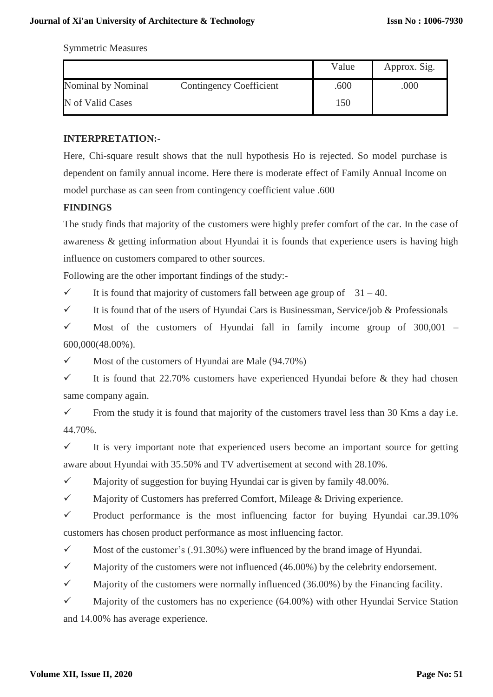Symmetric Measures

|                                                      | Value | Approx. Sig. |
|------------------------------------------------------|-------|--------------|
| Nominal by Nominal<br><b>Contingency Coefficient</b> | .600  | .000         |
| N of Valid Cases                                     | 150   |              |

## **INTERPRETATION:-**

Here, Chi-square result shows that the null hypothesis Ho is rejected. So model purchase is dependent on family annual income. Here there is moderate effect of Family Annual Income on model purchase as can seen from contingency coefficient value .600

## **FINDINGS**

The study finds that majority of the customers were highly prefer comfort of the car. In the case of awareness & getting information about Hyundai it is founds that experience users is having high influence on customers compared to other sources.

Following are the other important findings of the study:-

It is found that majority of customers fall between age group of  $31 - 40$ .

It is found that of the users of Hyundai Cars is Businessman, Service/job & Professionals

 $\checkmark$  Most of the customers of Hyundai fall in family income group of 300,001 – 600,000(48.00%).

 $\checkmark$  Most of the customers of Hyundai are Male (94.70%)

 $\checkmark$  It is found that 22.70% customers have experienced Hyundai before & they had chosen same company again.

From the study it is found that majority of the customers travel less than 30 Kms a day i.e. 44.70%.

 $\checkmark$  It is very important note that experienced users become an important source for getting aware about Hyundai with 35.50% and TV advertisement at second with 28.10%.

 $\checkmark$  Majority of suggestion for buying Hyundai car is given by family 48.00%.

 $\checkmark$  Majority of Customers has preferred Comfort, Mileage & Driving experience.

 $\checkmark$  Product performance is the most influencing factor for buying Hyundai car.39.10% customers has chosen product performance as most influencing factor.

 $\checkmark$  Most of the customer's (.91.30%) were influenced by the brand image of Hyundai.

 $\checkmark$  Majority of the customers were not influenced (46.00%) by the celebrity endorsement.

 $\checkmark$  Majority of the customers were normally influenced (36.00%) by the Financing facility.

 $\checkmark$  Majority of the customers has no experience (64.00%) with other Hyundai Service Station and 14.00% has average experience.